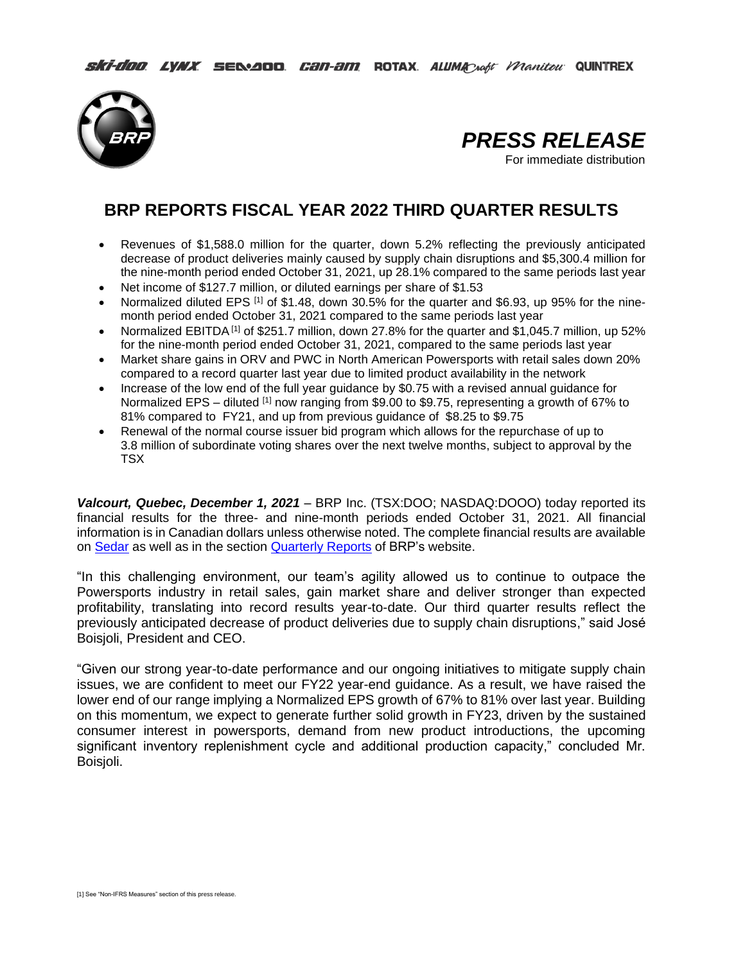SKİ-doo. Lynx. SER•400. Cən-əm. Rotax. Alumadat Manitou Quintrex.





**BRP REPORTS FISCAL YEAR 2022 THIRD QUARTER RESULTS**

- Revenues of \$1,588.0 million for the quarter, down 5.2% reflecting the previously anticipated decrease of product deliveries mainly caused by supply chain disruptions and \$5,300.4 million for the nine-month period ended October 31, 2021, up 28.1% compared to the same periods last year
- Net income of \$127.7 million, or diluted earnings per share of \$1.53
- Normalized diluted EPS <sup>[1]</sup> of \$1.48, down 30.5% for the quarter and \$6.93, up 95% for the ninemonth period ended October 31, 2021 compared to the same periods last year
- Normalized EBITDA [1] of \$251.7 million, down 27.8% for the quarter and \$1,045.7 million, up 52% for the nine-month period ended October 31, 2021, compared to the same periods last year
- Market share gains in ORV and PWC in North American Powersports with retail sales down 20% compared to a record quarter last year due to limited product availability in the network
- Increase of the low end of the full year guidance by \$0.75 with a revised annual guidance for Normalized EPS – diluted [1] now ranging from \$9.00 to \$9.75, representing a growth of 67% to 81% compared to FY21, and up from previous guidance of \$8.25 to \$9.75
- Renewal of the normal course issuer bid program which allows for the repurchase of up to 3.8 million of subordinate voting shares over the next twelve months, subject to approval by the TSX

*Valcourt, Quebec, December 1, 2021 –* BRP Inc. (TSX:DOO; NASDAQ:DOOO) today reported its financial results for the three- and nine-month periods ended October 31, 2021. All financial information is in Canadian dollars unless otherwise noted. The complete financial results are available on [Sedar](https://www.sedar.com/) as well as in the section [Quarterly](https://news.brp.com/financial-information/quarterly-reports) Reports of BRP's website.

"In this challenging environment, our team's agility allowed us to continue to outpace the Powersports industry in retail sales, gain market share and deliver stronger than expected profitability, translating into record results year-to-date. Our third quarter results reflect the previously anticipated decrease of product deliveries due to supply chain disruptions," said José Boisjoli, President and CEO.

"Given our strong year-to-date performance and our ongoing initiatives to mitigate supply chain issues, we are confident to meet our FY22 year-end guidance. As a result, we have raised the lower end of our range implying a Normalized EPS growth of 67% to 81% over last year. Building on this momentum, we expect to generate further solid growth in FY23, driven by the sustained consumer interest in powersports, demand from new product introductions, the upcoming significant inventory replenishment cycle and additional production capacity," concluded Mr. Boisjoli.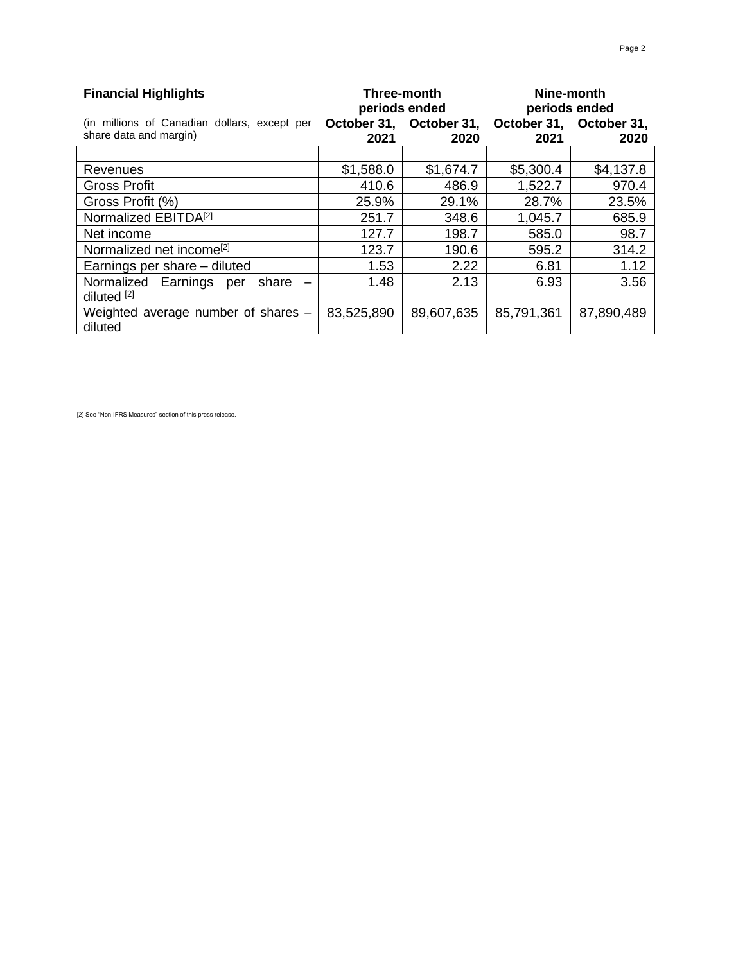| <b>Financial Highlights</b>                                            | <b>Three-month</b><br>periods ended |                     | Nine-month<br>periods ended |                                 |
|------------------------------------------------------------------------|-------------------------------------|---------------------|-----------------------------|---------------------------------|
| (in millions of Canadian dollars, except per<br>share data and margin) | October 31,<br>2021                 | October 31,<br>2020 | 2021                        | October 31, October 31,<br>2020 |
|                                                                        |                                     |                     |                             |                                 |
| Revenues                                                               | \$1,588.0                           | \$1,674.7           | \$5,300.4                   | \$4,137.8                       |
| Gross Profit                                                           | 410.6                               | 486.9               | 1,522.7                     | 970.4                           |
| Gross Profit (%)                                                       | 25.9%                               | 29.1%               | 28.7%                       | 23.5%                           |
| Normalized EBITDA <sup>[2]</sup>                                       | 251.7                               | 348.6               | 1,045.7                     | 685.9                           |
| Net income                                                             | 127.7                               | 198.7               | 585.0                       | 98.7                            |
| Normalized net income <sup>[2]</sup>                                   | 123.7                               | 190.6               | 595.2                       | 314.2                           |
| Earnings per share – diluted                                           | 1.53                                | 2.22                | 6.81                        | 1.12                            |
| Normalized Earnings per<br>share<br>diluted <sup>[2]</sup>             | 1.48                                | 2.13                | 6.93                        | 3.56                            |
| Weighted average number of shares -<br>diluted                         | 83,525,890                          | 89,607,635          | 85,791,361                  | 87,890,489                      |

[2] See "Non-IFRS Measures" section of this press release.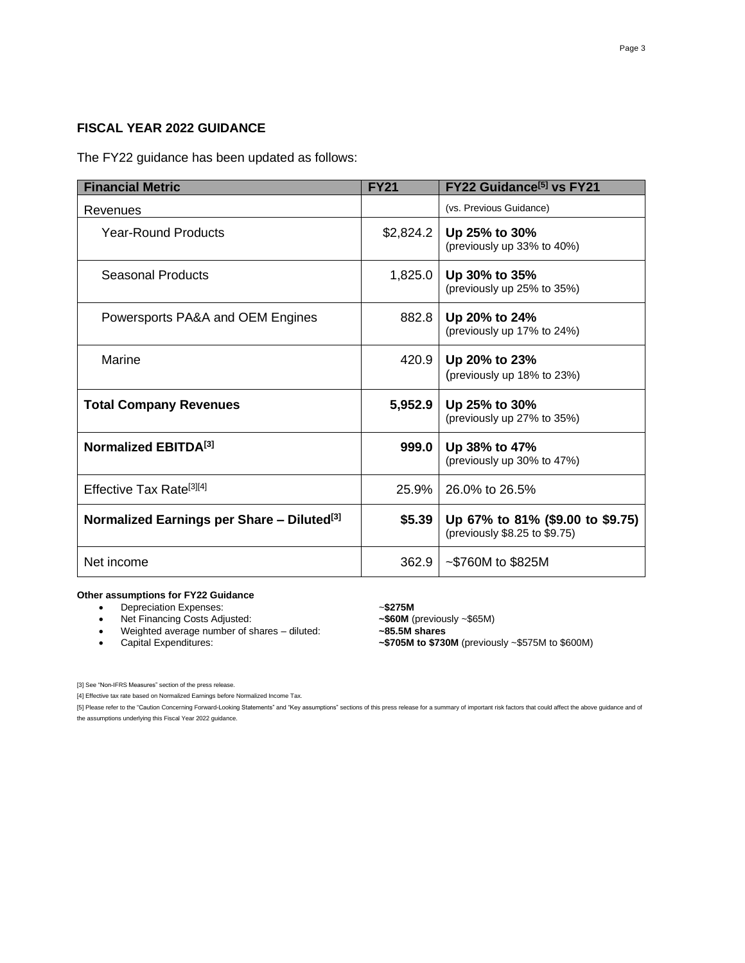# **FISCAL YEAR 2022 GUIDANCE**

The FY22 guidance has been updated as follows:

| <b>Financial Metric</b>                                | <b>FY21</b> | FY22 Guidance <sup>[5]</sup> vs FY21                              |
|--------------------------------------------------------|-------------|-------------------------------------------------------------------|
| Revenues                                               |             | (vs. Previous Guidance)                                           |
| <b>Year-Round Products</b>                             | \$2,824.2   | Up 25% to 30%<br>(previously up 33% to 40%)                       |
| Seasonal Products                                      | 1,825.0     | Up 30% to 35%<br>(previously up 25% to 35%)                       |
| Powersports PA&A and OEM Engines                       | 882.8       | Up 20% to 24%<br>(previously up 17% to 24%)                       |
| Marine                                                 | 420.9       | Up 20% to 23%<br>(previously up 18% to 23%)                       |
| <b>Total Company Revenues</b>                          | 5,952.9     | Up 25% to 30%<br>(previously up 27% to 35%)                       |
| Normalized EBITDA <sup>[3]</sup>                       | 999.0       | Up 38% to 47%<br>(previously up 30% to 47%)                       |
| Effective Tax Rate <sup>[3][4]</sup>                   | 25.9%       | 26.0% to 26.5%                                                    |
| Normalized Earnings per Share - Diluted <sup>[3]</sup> | \$5.39      | Up 67% to 81% (\$9.00 to \$9.75)<br>(previously \$8.25 to \$9.75) |
| Net income                                             | 362.9       | $\sim$ \$760M to \$825M                                           |

### **Other assumptions for FY22 Guidance**

- 
- Depreciation Expenses: ~**\$275M** • Net Financing Costs Adjusted:
- Weighted average number of shares diluted: **~85.5M shares**
- 

- 
- 
- Capital Expenditures: **~\$705M to \$730M** (previously ~\$575M to \$600M)

[3] See "Non-IFRS Measures" section of the press release.

[4] Effective tax rate based on Normalized Earnings before Normalized Income Tax.

[5] Please refer to the "Caution Concerning Forward-Looking Statements" and "Key assumptions" sections of this press release for a summary of important risk factors that could affect the above guidance and of the assumptions underlying this Fiscal Year 2022 guidance.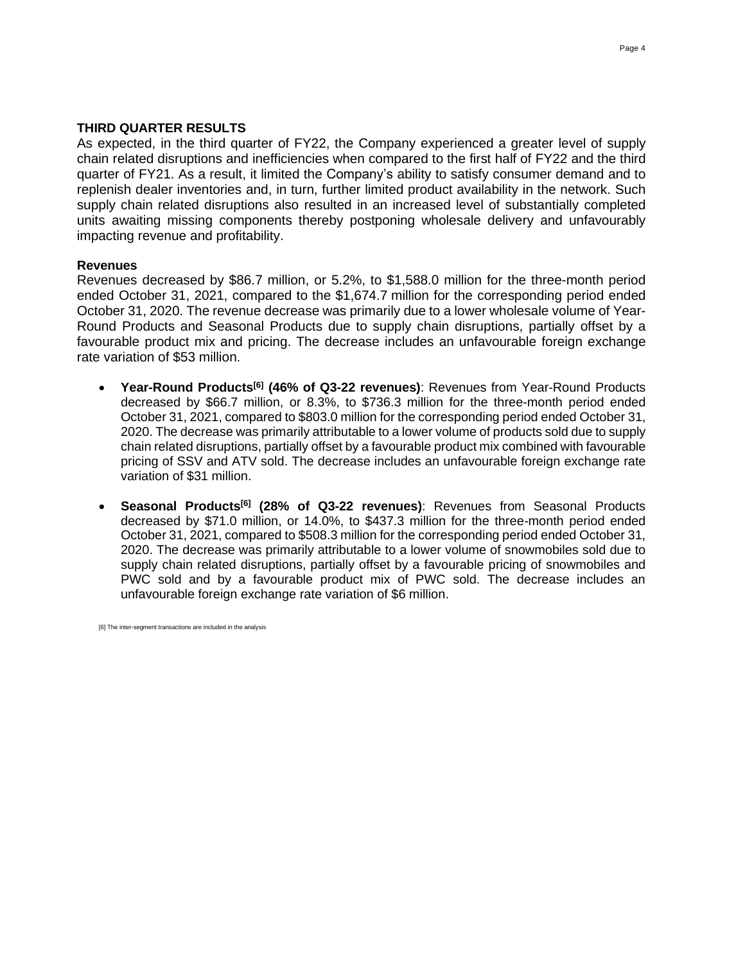## **THIRD QUARTER RESULTS**

As expected, in the third quarter of FY22, the Company experienced a greater level of supply chain related disruptions and inefficiencies when compared to the first half of FY22 and the third quarter of FY21. As a result, it limited the Company's ability to satisfy consumer demand and to replenish dealer inventories and, in turn, further limited product availability in the network. Such supply chain related disruptions also resulted in an increased level of substantially completed units awaiting missing components thereby postponing wholesale delivery and unfavourably impacting revenue and profitability.

## **Revenues**

Revenues decreased by \$86.7 million, or 5.2%, to \$1,588.0 million for the three-month period ended October 31, 2021, compared to the \$1,674.7 million for the corresponding period ended October 31, 2020. The revenue decrease was primarily due to a lower wholesale volume of Year-Round Products and Seasonal Products due to supply chain disruptions, partially offset by a favourable product mix and pricing. The decrease includes an unfavourable foreign exchange rate variation of \$53 million.

- **Year-Round Products[6] (46% of Q3-22 revenues)**: Revenues from Year-Round Products decreased by \$66.7 million, or 8.3%, to \$736.3 million for the three-month period ended October 31, 2021, compared to \$803.0 million for the corresponding period ended October 31, 2020. The decrease was primarily attributable to a lower volume of products sold due to supply chain related disruptions, partially offset by a favourable product mix combined with favourable pricing of SSV and ATV sold. The decrease includes an unfavourable foreign exchange rate variation of \$31 million.
- **Seasonal Products[6] (28% of Q3-22 revenues)**: Revenues from Seasonal Products decreased by \$71.0 million, or 14.0%, to \$437.3 million for the three-month period ended October 31, 2021, compared to \$508.3 million for the corresponding period ended October 31, 2020. The decrease was primarily attributable to a lower volume of snowmobiles sold due to supply chain related disruptions, partially offset by a favourable pricing of snowmobiles and PWC sold and by a favourable product mix of PWC sold. The decrease includes an unfavourable foreign exchange rate variation of \$6 million.

[6] The inter-segment transactions are included in the analysis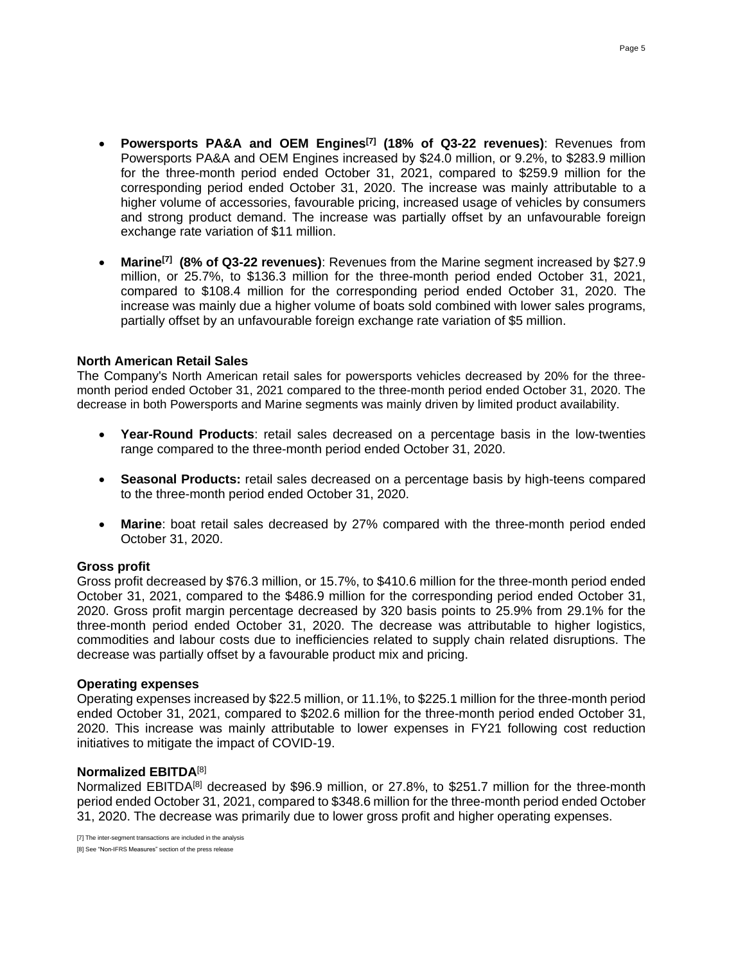Page 5

- **Powersports PA&A and OEM Engines[7] (18% of Q3-22 revenues)**: Revenues from Powersports PA&A and OEM Engines increased by \$24.0 million, or 9.2%, to \$283.9 million for the three-month period ended October 31, 2021, compared to \$259.9 million for the corresponding period ended October 31, 2020. The increase was mainly attributable to a higher volume of accessories, favourable pricing, increased usage of vehicles by consumers and strong product demand. The increase was partially offset by an unfavourable foreign exchange rate variation of \$11 million.
- Marine<sup>[7]</sup> (8% of Q3-22 revenues): Revenues from the Marine segment increased by \$27.9 million, or 25.7%, to \$136.3 million for the three-month period ended October 31, 2021, compared to \$108.4 million for the corresponding period ended October 31, 2020. The increase was mainly due a higher volume of boats sold combined with lower sales programs, partially offset by an unfavourable foreign exchange rate variation of \$5 million.

# **North American Retail Sales**

The Company's North American retail sales for powersports vehicles decreased by 20% for the threemonth period ended October 31, 2021 compared to the three-month period ended October 31, 2020. The decrease in both Powersports and Marine segments was mainly driven by limited product availability.

- **Year-Round Products**: retail sales decreased on a percentage basis in the low-twenties range compared to the three-month period ended October 31, 2020.
- **Seasonal Products:** retail sales decreased on a percentage basis by high-teens compared to the three-month period ended October 31, 2020.
- **Marine**: boat retail sales decreased by 27% compared with the three-month period ended October 31, 2020.

# **Gross profit**

Gross profit decreased by \$76.3 million, or 15.7%, to \$410.6 million for the three-month period ended October 31, 2021, compared to the \$486.9 million for the corresponding period ended October 31, 2020. Gross profit margin percentage decreased by 320 basis points to 25.9% from 29.1% for the three-month period ended October 31, 2020. The decrease was attributable to higher logistics, commodities and labour costs due to inefficiencies related to supply chain related disruptions. The decrease was partially offset by a favourable product mix and pricing.

# **Operating expenses**

Operating expenses increased by \$22.5 million, or 11.1%, to \$225.1 million for the three-month period ended October 31, 2021, compared to \$202.6 million for the three-month period ended October 31, 2020. This increase was mainly attributable to lower expenses in FY21 following cost reduction initiatives to mitigate the impact of COVID-19.

# **Normalized EBITDA**[8]

Normalized EBITDA<sup>[8]</sup> decreased by \$96.9 million, or 27.8%, to \$251.7 million for the three-month period ended October 31, 2021, compared to \$348.6 million for the three-month period ended October 31, 2020. The decrease was primarily due to lower gross profit and higher operating expenses.

[7] The inter-segment transactions are included in the analysis

[8] See "Non-IFRS Measures" section of the press release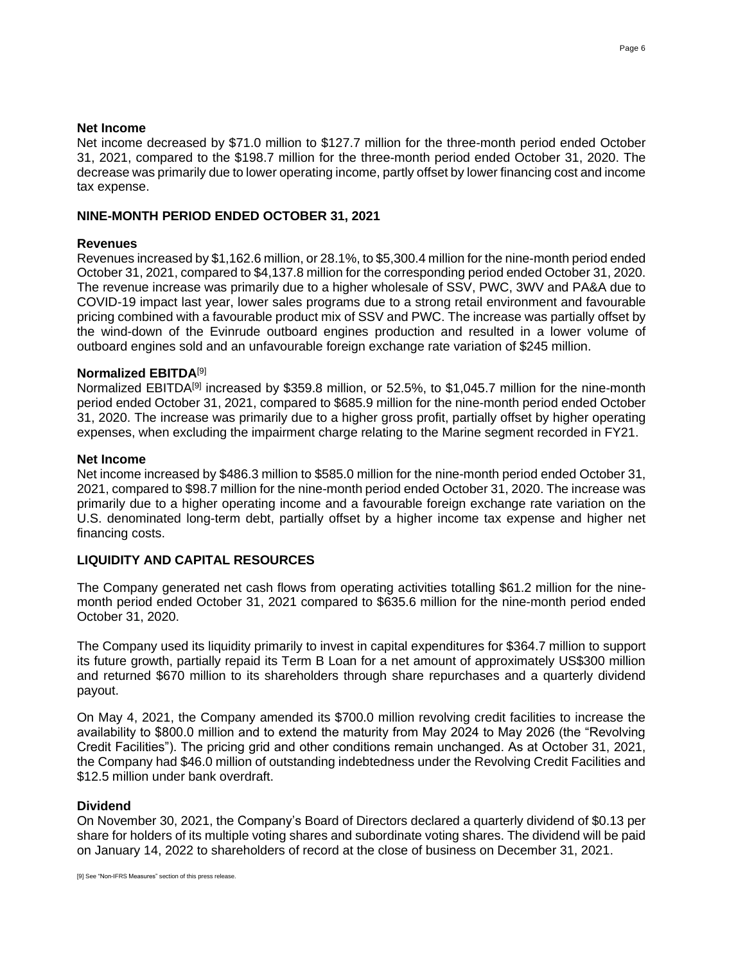#### **Net Income**

Net income decreased by \$71.0 million to \$127.7 million for the three-month period ended October 31, 2021, compared to the \$198.7 million for the three-month period ended October 31, 2020. The decrease was primarily due to lower operating income, partly offset by lower financing cost and income tax expense.

### **NINE-MONTH PERIOD ENDED OCTOBER 31, 2021**

#### **Revenues**

Revenues increased by \$1,162.6 million, or 28.1%, to \$5,300.4 million for the nine-month period ended October 31, 2021, compared to \$4,137.8 million for the corresponding period ended October 31, 2020. The revenue increase was primarily due to a higher wholesale of SSV, PWC, 3WV and PA&A due to COVID-19 impact last year, lower sales programs due to a strong retail environment and favourable pricing combined with a favourable product mix of SSV and PWC. The increase was partially offset by the wind-down of the Evinrude outboard engines production and resulted in a lower volume of outboard engines sold and an unfavourable foreign exchange rate variation of \$245 million.

#### **Normalized EBITDA**[9]

Normalized EBITDA<sup>[9]</sup> increased by \$359.8 million, or 52.5%, to \$1,045.7 million for the nine-month period ended October 31, 2021, compared to \$685.9 million for the nine-month period ended October 31, 2020. The increase was primarily due to a higher gross profit, partially offset by higher operating expenses, when excluding the impairment charge relating to the Marine segment recorded in FY21.

#### **Net Income**

Net income increased by \$486.3 million to \$585.0 million for the nine-month period ended October 31, 2021, compared to \$98.7 million for the nine-month period ended October 31, 2020. The increase was primarily due to a higher operating income and a favourable foreign exchange rate variation on the U.S. denominated long-term debt, partially offset by a higher income tax expense and higher net financing costs.

## **LIQUIDITY AND CAPITAL RESOURCES**

The Company generated net cash flows from operating activities totalling \$61.2 million for the ninemonth period ended October 31, 2021 compared to \$635.6 million for the nine-month period ended October 31, 2020.

The Company used its liquidity primarily to invest in capital expenditures for \$364.7 million to support its future growth, partially repaid its Term B Loan for a net amount of approximately US\$300 million and returned \$670 million to its shareholders through share repurchases and a quarterly dividend payout.

On May 4, 2021, the Company amended its \$700.0 million revolving credit facilities to increase the availability to \$800.0 million and to extend the maturity from May 2024 to May 2026 (the "Revolving Credit Facilities"). The pricing grid and other conditions remain unchanged. As at October 31, 2021, the Company had \$46.0 million of outstanding indebtedness under the Revolving Credit Facilities and \$12.5 million under bank overdraft.

#### **Dividend**

On November 30, 2021, the Company's Board of Directors declared a quarterly dividend of \$0.13 per share for holders of its multiple voting shares and subordinate voting shares. The dividend will be paid on January 14, 2022 to shareholders of record at the close of business on December 31, 2021.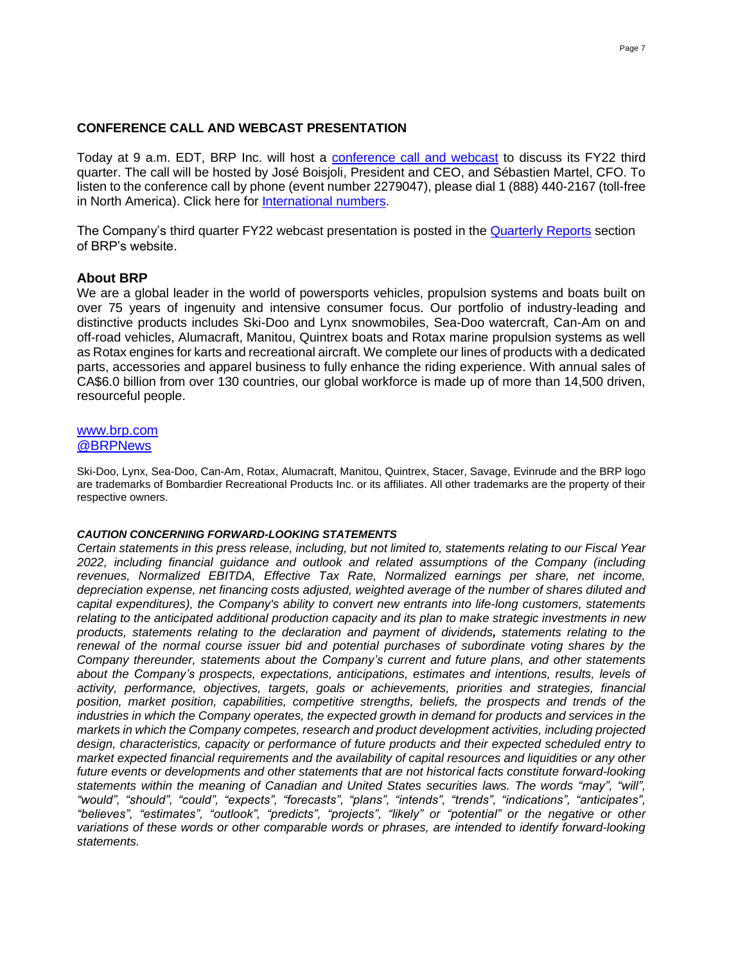# **CONFERENCE CALL AND WEBCAST PRESENTATION**

Today at 9 a.m. EDT, BRP Inc. will host a [conference call and webcast](https://www.icastpro.ca/events/brp/juri23/2021/12/01/brp-inc-s-fy22-third-quarter-results) to discuss its FY22 third quarter. The call will be hosted by José Boisjoli, President and CEO, and Sébastien Martel, CFO. To listen to the conference call by phone (event number 2279047), please dial 1 (888) 440-2167 (toll-free in North America). Click here for [International numbers.](https://event.conferencingportals.com/custom/access/2324/)

The Company's third quarter FY22 webcast presentation is posted in the [Quarterly Reports](https://news.brp.com/financial-information/quarterly-reports) section of BRP's website.

# **About BRP**

We are a global leader in the world of powersports vehicles, propulsion systems and boats built on over 75 years of ingenuity and intensive consumer focus. Our portfolio of industry-leading and distinctive products includes Ski-Doo and Lynx snowmobiles, Sea-Doo watercraft, Can-Am on and off-road vehicles, Alumacraft, Manitou, Quintrex boats and Rotax marine propulsion systems as well as Rotax engines for karts and recreational aircraft. We complete our lines of products with a dedicated parts, accessories and apparel business to fully enhance the riding experience. With annual sales of CA\$6.0 billion from over 130 countries, our global workforce is made up of more than 14,500 driven, resourceful people.

# [www.brp.com](http://www.brp.com/)

# [@BRPNews](https://twitter.com/BRPnews)

Ski-Doo, Lynx, Sea-Doo, Can-Am, Rotax, Alumacraft, Manitou, Quintrex, Stacer, Savage, Evinrude and the BRP logo are trademarks of Bombardier Recreational Products Inc. or its affiliates. All other trademarks are the property of their respective owners.

## *CAUTION CONCERNING FORWARD-LOOKING STATEMENTS*

Certain statements in this press release, including, but not limited to, statements relating to our Fiscal Year *2022, including financial guidance and outlook and related assumptions of the Company (including revenues, Normalized EBITDA, Effective Tax Rate, Normalized earnings per share, net income, depreciation expense, net financing costs adjusted, weighted average of the number of shares diluted and capital expenditures), the Company's ability to convert new entrants into life-long customers, statements relating to the anticipated additional production capacity and its plan to make strategic investments in new products, statements relating to the declaration and payment of dividends, statements relating to the renewal of the normal course issuer bid and potential purchases of subordinate voting shares by the Company thereunder, statements about the Company's current and future plans, and other statements about the Company's prospects, expectations, anticipations, estimates and intentions, results, levels of activity, performance, objectives, targets, goals or achievements, priorities and strategies, financial position, market position, capabilities, competitive strengths, beliefs, the prospects and trends of the industries in which the Company operates, the expected growth in demand for products and services in the markets in which the Company competes, research and product development activities, including projected design, characteristics, capacity or performance of future products and their expected scheduled entry to market expected financial requirements and the availability of capital resources and liquidities or any other future events or developments and other statements that are not historical facts constitute forward-looking statements within the meaning of Canadian and United States securities laws. The words "may", "will", "would", "should", "could", "expects", "forecasts", "plans", "intends", "trends", "indications", "anticipates", "believes", "estimates", "outlook", "predicts", "projects", "likely" or "potential" or the negative or other variations of these words or other comparable words or phrases, are intended to identify forward-looking statements.*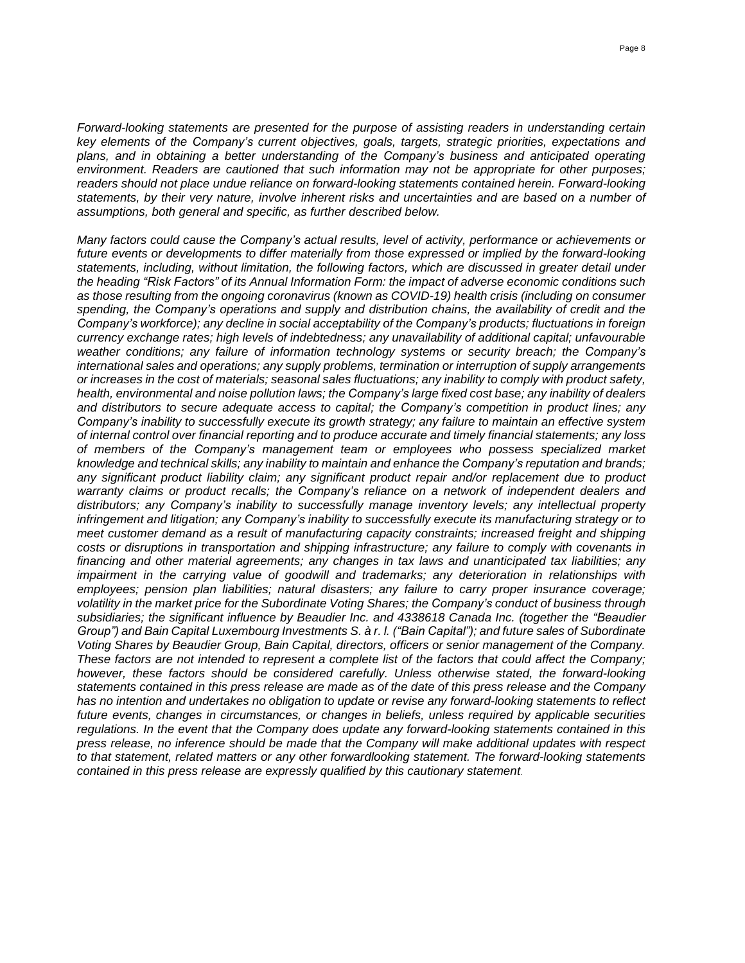*Forward-looking statements are presented for the purpose of assisting readers in understanding certain key elements of the Company's current objectives, goals, targets, strategic priorities, expectations and plans, and in obtaining a better understanding of the Company's business and anticipated operating environment. Readers are cautioned that such information may not be appropriate for other purposes; readers should not place undue reliance on forward-looking statements contained herein. Forward-looking statements, by their very nature, involve inherent risks and uncertainties and are based on a number of assumptions, both general and specific, as further described below.*

*Many factors could cause the Company's actual results, level of activity, performance or achievements or future events or developments to differ materially from those expressed or implied by the forward-looking statements, including, without limitation, the following factors, which are discussed in greater detail under the heading "Risk Factors" of its Annual Information Form: the impact of adverse economic conditions such as those resulting from the ongoing coronavirus (known as COVID-19) health crisis (including on consumer spending, the Company's operations and supply and distribution chains, the availability of credit and the Company's workforce); any decline in social acceptability of the Company's products; fluctuations in foreign currency exchange rates; high levels of indebtedness; any unavailability of additional capital; unfavourable weather conditions; any failure of information technology systems or security breach; the Company's international sales and operations; any supply problems, termination or interruption of supply arrangements* or increases in the cost of materials; seasonal sales fluctuations; any inability to comply with product safety, *health, environmental and noise pollution laws; the Company's large fixed cost base; any inability of dealers and distributors to secure adequate access to capital; the Company's competition in product lines; any Company's inability to successfully execute its growth strategy; any failure to maintain an effective system of internal control over financial reporting and to produce accurate and timely financial statements; any loss of members of the Company's management team or employees who possess specialized market knowledge and technical skills; any inability to maintain and enhance the Company's reputation and brands; any significant product liability claim; any significant product repair and/or replacement due to product warranty claims or product recalls; the Company's reliance on a network of independent dealers and distributors; any Company's inability to successfully manage inventory levels; any intellectual property infringement and litigation; any Company's inability to successfully execute its manufacturing strategy or to meet customer demand as a result of manufacturing capacity constraints; increased freight and shipping costs or disruptions in transportation and shipping infrastructure; any failure to comply with covenants in financing and other material agreements; any changes in tax laws and unanticipated tax liabilities; any impairment in the carrying value of goodwill and trademarks; any deterioration in relationships with employees; pension plan liabilities; natural disasters; any failure to carry proper insurance coverage; volatility in the market price for the Subordinate Voting Shares; the Company's conduct of business through subsidiaries; the significant influence by Beaudier Inc. and 4338618 Canada Inc. (together the "Beaudier* Group") and Bain Capital Luxembourg Investments S. à r. I. ("Bain Capital"); and future sales of Subordinate *Voting Shares by Beaudier Group, Bain Capital, directors, officers or senior management of the Company.* These factors are not intended to represent a complete list of the factors that could affect the Company; *however, these factors should be considered carefully. Unless otherwise stated, the forward-looking* statements contained in this press release are made as of the date of this press release and the Company *has no intention and undertakes no obligation to update or revise any forward-looking statements to reflect future events, changes in circumstances, or changes in beliefs, unless required by applicable securities regulations. In the event that the Company does update any forward-looking statements contained in this press release, no inference should be made that the Company will make additional updates with respect to that statement, related matters or any other forwardlooking statement. The forward-looking statements contained in this press release are expressly qualified by this cautionary statement*.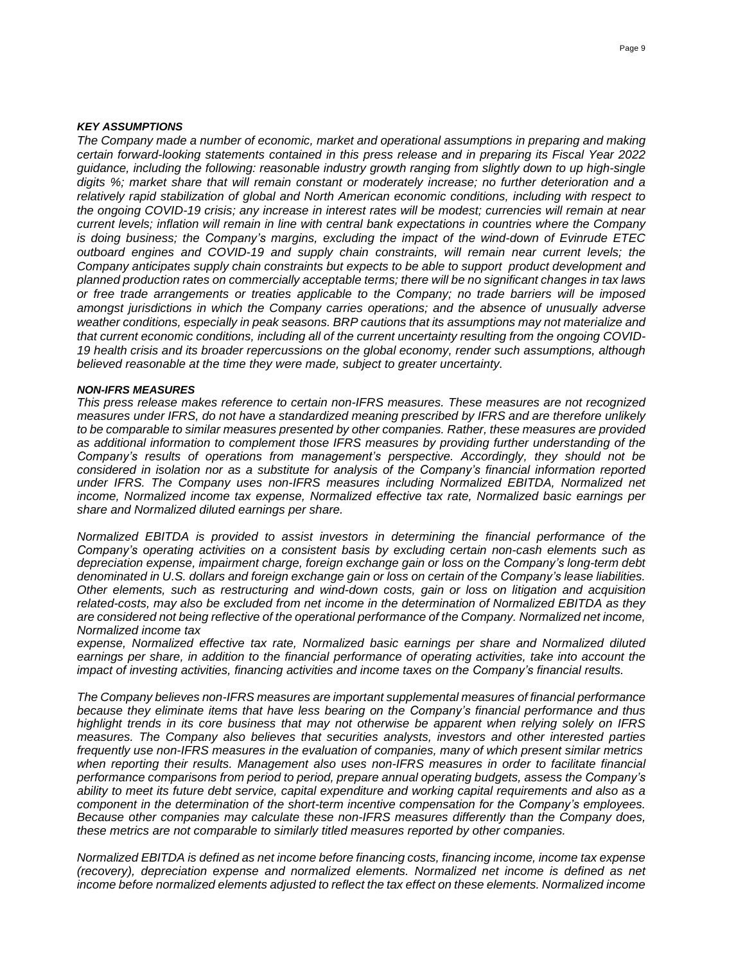#### *KEY ASSUMPTIONS*

*The Company made a number of economic, market and operational assumptions in preparing and making certain forward-looking statements contained in this press release and in preparing its Fiscal Year 2022 guidance, including the following: reasonable industry growth ranging from slightly down to up high-single digits %; market share that will remain constant or moderately increase; no further deterioration and a relatively rapid stabilization of global and North American economic conditions, including with respect to* the ongoing COVID-19 crisis; any increase in interest rates will be modest; currencies will remain at near *current levels; inflation will remain in line with central bank expectations in countries where the Company is doing business; the Company's margins, excluding the impact of the wind-down of Evinrude ETEC outboard engines and COVID-19 and supply chain constraints, will remain near current levels; the Company anticipates supply chain constraints but expects to be able to support product development and planned production rates on commercially acceptable terms; there will be no significant changes in tax laws or free trade arrangements or treaties applicable to the Company; no trade barriers will be imposed amongst jurisdictions in which the Company carries operations; and the absence of unusually adverse weather conditions, especially in peak seasons. BRP cautions that its assumptions may not materialize and that current economic conditions, including all of the current uncertainty resulting from the ongoing COVID-19 health crisis and its broader repercussions on the global economy, render such assumptions, although believed reasonable at the time they were made, subject to greater uncertainty.*

#### *NON-IFRS MEASURES*

*This press release makes reference to certain non-IFRS measures. These measures are not recognized measures under IFRS, do not have a standardized meaning prescribed by IFRS and are therefore unlikely to be comparable to similar measures presented by other companies. Rather, these measures are provided as additional information to complement those IFRS measures by providing further understanding of the Company's results of operations from management's perspective. Accordingly, they should not be considered in isolation nor as a substitute for analysis of the Company's financial information reported under IFRS. The Company uses non-IFRS measures including Normalized EBITDA, Normalized net income, Normalized income tax expense, Normalized effective tax rate, Normalized basic earnings per share and Normalized diluted earnings per share.*

*Normalized EBITDA is provided to assist investors in determining the financial performance of the Company's operating activities on a consistent basis by excluding certain non-cash elements such as depreciation expense, impairment charge, foreign exchange gain or loss on the Company's long-term debt* denominated in U.S. dollars and foreign exchange gain or loss on certain of the Company's lease liabilities. *Other elements, such as restructuring and wind-down costs, gain or loss on litigation and acquisition related-costs, may also be excluded from net income in the determination of Normalized EBITDA as they are considered not being reflective of the operational performance of the Company. Normalized net income, Normalized income tax*

*expense, Normalized effective tax rate, Normalized basic earnings per share and Normalized diluted earnings per share, in addition to the financial performance of operating activities, take into account the impact of investing activities, financing activities and income taxes on the Company's financial results.*

*The Company believes non-IFRS measures are important supplemental measures of financial performance because they eliminate items that have less bearing on the Company's financial performance and thus highlight trends in its core business that may not otherwise be apparent when relying solely on IFRS measures. The Company also believes that securities analysts, investors and other interested parties frequently use non-IFRS measures in the evaluation of companies, many of which present similar metrics when reporting their results. Management also uses non-IFRS measures in order to facilitate financial performance comparisons from period to period, prepare annual operating budgets, assess the Company's* ability to meet its future debt service, capital expenditure and working capital requirements and also as a *component in the determination of the short-term incentive compensation for the Company's employees. Because other companies may calculate these non-IFRS measures differently than the Company does, these metrics are not comparable to similarly titled measures reported by other companies.*

*Normalized EBITDA is defined as net income before financing costs, financing income, income tax expense (recovery), depreciation expense and normalized elements. Normalized net income is defined as net income before normalized elements adjusted to reflect the tax effect on these elements. Normalized income*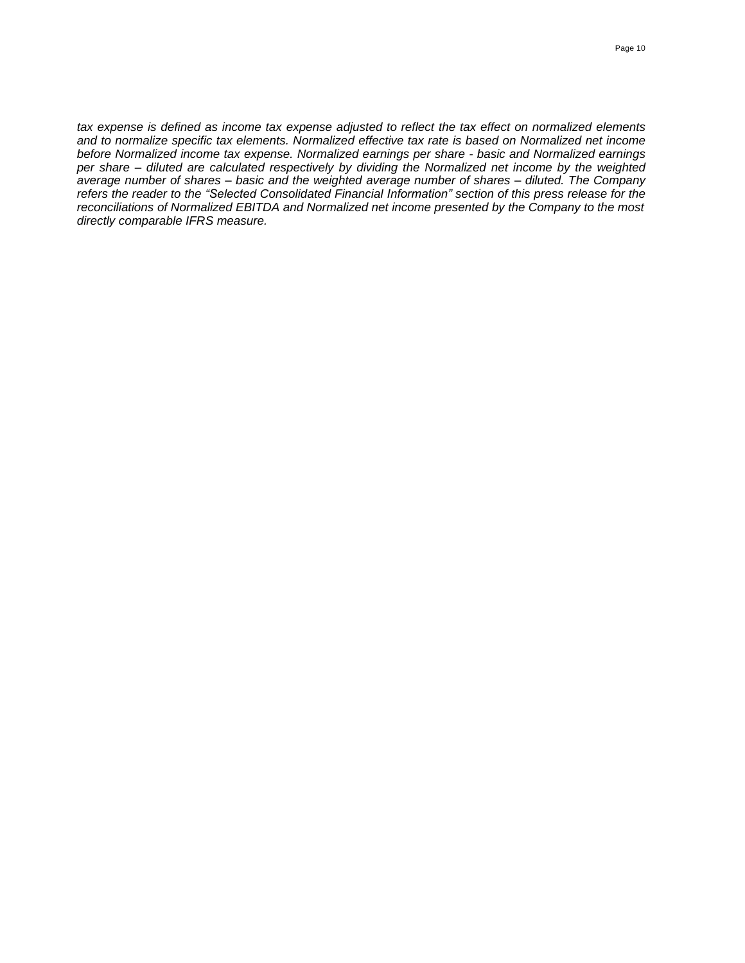*tax expense is defined as income tax expense adjusted to reflect the tax effect on normalized elements and to normalize specific tax elements. Normalized effective tax rate is based on Normalized net income before Normalized income tax expense. Normalized earnings per share - basic and Normalized earnings per share – diluted are calculated respectively by dividing the Normalized net income by the weighted average number of shares – basic and the weighted average number of shares – diluted. The Company refers the reader to the "Selected Consolidated Financial Information" section of this press release for the reconciliations of Normalized EBITDA and Normalized net income presented by the Company to the most directly comparable IFRS measure.*